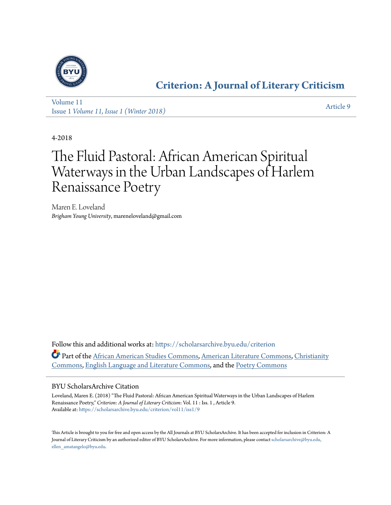

### **[Criterion: A Journal of Literary Criticism](https://scholarsarchive.byu.edu/criterion?utm_source=scholarsarchive.byu.edu%2Fcriterion%2Fvol11%2Fiss1%2F9&utm_medium=PDF&utm_campaign=PDFCoverPages)**

[Volume 11](https://scholarsarchive.byu.edu/criterion/vol11?utm_source=scholarsarchive.byu.edu%2Fcriterion%2Fvol11%2Fiss1%2F9&utm_medium=PDF&utm_campaign=PDFCoverPages) Issue 1 *[Volume 11, Issue 1 \(Winter 2018\)](https://scholarsarchive.byu.edu/criterion/vol11/iss1?utm_source=scholarsarchive.byu.edu%2Fcriterion%2Fvol11%2Fiss1%2F9&utm_medium=PDF&utm_campaign=PDFCoverPages)* [Article 9](https://scholarsarchive.byu.edu/criterion/vol11/iss1/9?utm_source=scholarsarchive.byu.edu%2Fcriterion%2Fvol11%2Fiss1%2F9&utm_medium=PDF&utm_campaign=PDFCoverPages)

4-2018

## The Fluid Pastoral: African American Spiritual Waterways in the Urban Landscapes of Harlem Renaissance Poetry

Maren E. Loveland *Brigham Young University*, mareneloveland@gmail.com

Follow this and additional works at: [https://scholarsarchive.byu.edu/criterion](https://scholarsarchive.byu.edu/criterion?utm_source=scholarsarchive.byu.edu%2Fcriterion%2Fvol11%2Fiss1%2F9&utm_medium=PDF&utm_campaign=PDFCoverPages) Part of the [African American Studies Commons,](http://network.bepress.com/hgg/discipline/567?utm_source=scholarsarchive.byu.edu%2Fcriterion%2Fvol11%2Fiss1%2F9&utm_medium=PDF&utm_campaign=PDFCoverPages) [American Literature Commons](http://network.bepress.com/hgg/discipline/441?utm_source=scholarsarchive.byu.edu%2Fcriterion%2Fvol11%2Fiss1%2F9&utm_medium=PDF&utm_campaign=PDFCoverPages), [Christianity](http://network.bepress.com/hgg/discipline/1181?utm_source=scholarsarchive.byu.edu%2Fcriterion%2Fvol11%2Fiss1%2F9&utm_medium=PDF&utm_campaign=PDFCoverPages) [Commons,](http://network.bepress.com/hgg/discipline/1181?utm_source=scholarsarchive.byu.edu%2Fcriterion%2Fvol11%2Fiss1%2F9&utm_medium=PDF&utm_campaign=PDFCoverPages) [English Language and Literature Commons,](http://network.bepress.com/hgg/discipline/455?utm_source=scholarsarchive.byu.edu%2Fcriterion%2Fvol11%2Fiss1%2F9&utm_medium=PDF&utm_campaign=PDFCoverPages) and the [Poetry Commons](http://network.bepress.com/hgg/discipline/1153?utm_source=scholarsarchive.byu.edu%2Fcriterion%2Fvol11%2Fiss1%2F9&utm_medium=PDF&utm_campaign=PDFCoverPages)

### BYU ScholarsArchive Citation

Loveland, Maren E. (2018) "The Fluid Pastoral: African American Spiritual Waterways in the Urban Landscapes of Harlem Renaissance Poetry," *Criterion: A Journal of Literary Criticism*: Vol. 11 : Iss. 1 , Article 9. Available at: [https://scholarsarchive.byu.edu/criterion/vol11/iss1/9](https://scholarsarchive.byu.edu/criterion/vol11/iss1/9?utm_source=scholarsarchive.byu.edu%2Fcriterion%2Fvol11%2Fiss1%2F9&utm_medium=PDF&utm_campaign=PDFCoverPages)

This Article is brought to you for free and open access by the All Journals at BYU ScholarsArchive. It has been accepted for inclusion in Criterion: A Journal of Literary Criticism by an authorized editor of BYU ScholarsArchive. For more information, please contact [scholarsarchive@byu.edu,](mailto:scholarsarchive@byu.edu,%20ellen_amatangelo@byu.edu) [ellen\\_amatangelo@byu.edu.](mailto:scholarsarchive@byu.edu,%20ellen_amatangelo@byu.edu)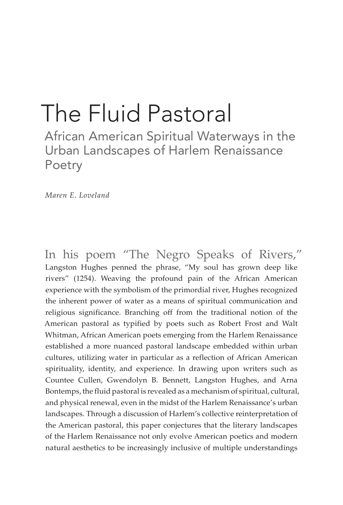# The Fluid Pastoral

African American Spiritual Waterways in the Urban Landscapes of Harlem Renaissance Poetry

*Maren E. Loveland*

In his poem "The Negro Speaks of Rivers," Langston Hughes penned the phrase, "My soul has grown deep like rivers" (1254). Weaving the profound pain of the African American experience with the symbolism of the primordial river, Hughes recognized the inherent power of water as a means of spiritual communication and religious significance. Branching off from the traditional notion of the American pastoral as typified by poets such as Robert Frost and Walt Whitman, African American poets emerging from the Harlem Renaissance established a more nuanced pastoral landscape embedded within urban cultures, utilizing water in particular as a reflection of African American spirituality, identity, and experience. In drawing upon writers such as Countee Cullen, Gwendolyn B. Bennett, Langston Hughes, and Arna Bontemps, the fluid pastoral is revealed as a mechanism of spiritual, cultural, and physical renewal, even in the midst of the Harlem Renaissance's urban landscapes. Through a discussion of Harlem's collective reinterpretation of the American pastoral, this paper conjectures that the literary landscapes of the Harlem Renaissance not only evolve American poetics and modern natural aesthetics to be increasingly inclusive of multiple understandings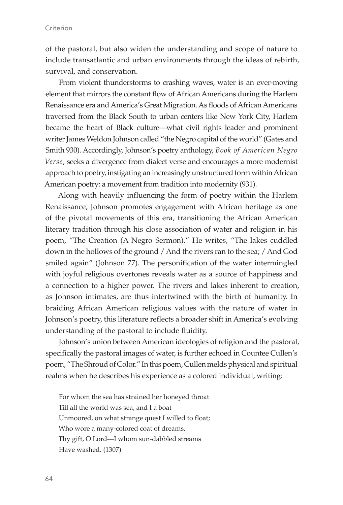of the pastoral, but also widen the understanding and scope of nature to include transatlantic and urban environments through the ideas of rebirth, survival, and conservation.

From violent thunderstorms to crashing waves, water is an ever-moving element that mirrors the constant flow of African Americans during the Harlem Renaissance era and America's Great Migration. As floods of African Americans traversed from the Black South to urban centers like New York City, Harlem became the heart of Black culture—what civil rights leader and prominent writer James Weldon Johnson called "the Negro capital of the world" (Gates and Smith 930). Accordingly, Johnson's poetry anthology, *Book of American Negro Verse*, seeks a divergence from dialect verse and encourages a more modernist approach to poetry, instigating an increasingly unstructured form within African American poetry: a movement from tradition into modernity (931).

Along with heavily influencing the form of poetry within the Harlem Renaissance, Johnson promotes engagement with African heritage as one of the pivotal movements of this era, transitioning the African American literary tradition through his close association of water and religion in his poem, "The Creation (A Negro Sermon)." He writes, "The lakes cuddled down in the hollows of the ground / And the rivers ran to the sea; / And God smiled again" (Johnson 77). The personification of the water intermingled with joyful religious overtones reveals water as a source of happiness and a connection to a higher power. The rivers and lakes inherent to creation, as Johnson intimates, are thus intertwined with the birth of humanity. In braiding African American religious values with the nature of water in Johnson's poetry, this literature reflects a broader shift in America's evolving understanding of the pastoral to include fluidity.

Johnson's union between American ideologies of religion and the pastoral, specifically the pastoral images of water, is further echoed in Countee Cullen's poem, "The Shroud of Color." In this poem, Cullen melds physical and spiritual realms when he describes his experience as a colored individual, writing:

For whom the sea has strained her honeyed throat Till all the world was sea, and I a boat Unmoored, on what strange quest I willed to float; Who wore a many-colored coat of dreams, Thy gift, O Lord—I whom sun-dabbled streams Have washed. (1307)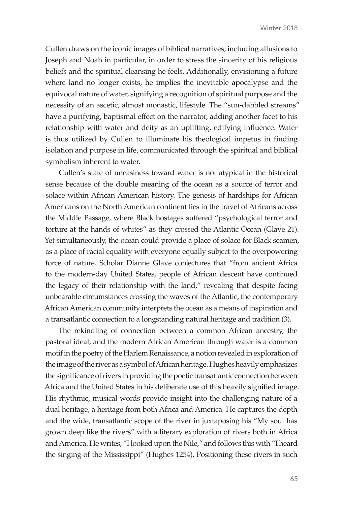Cullen draws on the iconic images of biblical narratives, including allusions to Joseph and Noah in particular, in order to stress the sincerity of his religious beliefs and the spiritual cleansing he feels. Additionally, envisioning a future where land no longer exists, he implies the inevitable apocalypse and the equivocal nature of water, signifying a recognition of spiritual purpose and the necessity of an ascetic, almost monastic, lifestyle. The "sun-dabbled streams" have a purifying, baptismal effect on the narrator, adding another facet to his relationship with water and deity as an uplifting, edifying influence. Water is thus utilized by Cullen to illuminate his theological impetus in finding isolation and purpose in life, communicated through the spiritual and biblical symbolism inherent to water.

Cullen's state of uneasiness toward water is not atypical in the historical sense because of the double meaning of the ocean as a source of terror and solace within African American history. The genesis of hardships for African Americans on the North American continent lies in the travel of Africans across the Middle Passage, where Black hostages suffered "psychological terror and torture at the hands of whites" as they crossed the Atlantic Ocean (Glave 21). Yet simultaneously, the ocean could provide a place of solace for Black seamen, as a place of racial equality with everyone equally subject to the overpowering force of nature. Scholar Dianne Glave conjectures that "from ancient Africa to the modern-day United States, people of African descent have continued the legacy of their relationship with the land," revealing that despite facing unbearable circumstances crossing the waves of the Atlantic, the contemporary African American community interprets the ocean as a means of inspiration and a transatlantic connection to a longstanding natural heritage and tradition (3).

The rekindling of connection between a common African ancestry, the pastoral ideal, and the modern African American through water is a common motif in the poetry of the Harlem Renaissance, a notion revealed in exploration of the image of the river as a symbol of African heritage. Hughes heavily emphasizes the significance of rivers in providing the poetic transatlantic connection between Africa and the United States in his deliberate use of this heavily signified image. His rhythmic, musical words provide insight into the challenging nature of a dual heritage, a heritage from both Africa and America. He captures the depth and the wide, transatlantic scope of the river in juxtaposing his "My soul has grown deep like the rivers" with a literary exploration of rivers both in Africa and America. He writes, "I looked upon the Nile," and follows this with "I heard the singing of the Mississippi" (Hughes 1254). Positioning these rivers in such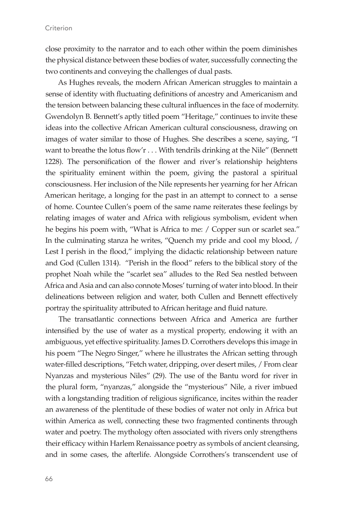### **Criterion**

close proximity to the narrator and to each other within the poem diminishes the physical distance between these bodies of water, successfully connecting the two continents and conveying the challenges of dual pasts.

As Hughes reveals, the modern African American struggles to maintain a sense of identity with fluctuating definitions of ancestry and Americanism and the tension between balancing these cultural influences in the face of modernity. Gwendolyn B. Bennett's aptly titled poem "Heritage," continues to invite these ideas into the collective African American cultural consciousness, drawing on images of water similar to those of Hughes. She describes a scene, saying, "I want to breathe the lotus flow'r . . . With tendrils drinking at the Nile" (Bennett 1228). The personification of the flower and river's relationship heightens the spirituality eminent within the poem, giving the pastoral a spiritual consciousness. Her inclusion of the Nile represents her yearning for her African American heritage, a longing for the past in an attempt to connect to a sense of home. Countee Cullen's poem of the same name reiterates these feelings by relating images of water and Africa with religious symbolism, evident when he begins his poem with, "What is Africa to me: / Copper sun or scarlet sea." In the culminating stanza he writes, "Quench my pride and cool my blood, / Lest I perish in the flood," implying the didactic relationship between nature and God (Cullen 1314). "Perish in the flood" refers to the biblical story of the prophet Noah while the "scarlet sea" alludes to the Red Sea nestled between Africa and Asia and can also connote Moses' turning of water into blood. In their delineations between religion and water, both Cullen and Bennett effectively portray the spirituality attributed to African heritage and fluid nature.

The transatlantic connections between Africa and America are further intensified by the use of water as a mystical property, endowing it with an ambiguous, yet effective spirituality. James D. Corrothers develops this image in his poem "The Negro Singer," where he illustrates the African setting through water-filled descriptions, "Fetch water, dripping, over desert miles, / From clear Nyanzas and mysterious Niles" (29). The use of the Bantu word for river in the plural form, "nyanzas," alongside the "mysterious" Nile, a river imbued with a longstanding tradition of religious significance, incites within the reader an awareness of the plentitude of these bodies of water not only in Africa but within America as well, connecting these two fragmented continents through water and poetry. The mythology often associated with rivers only strengthens their efficacy within Harlem Renaissance poetry as symbols of ancient cleansing, and in some cases, the afterlife. Alongside Corrothers's transcendent use of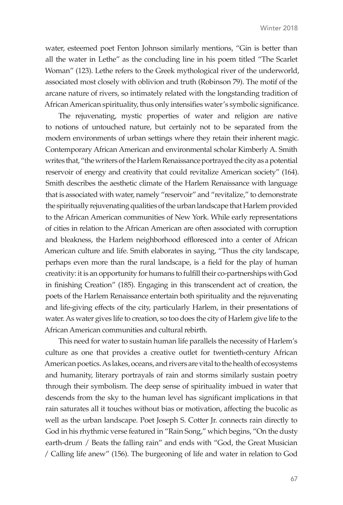water, esteemed poet Fenton Johnson similarly mentions, "Gin is better than all the water in Lethe" as the concluding line in his poem titled "The Scarlet Woman" (123). Lethe refers to the Greek mythological river of the underworld, associated most closely with oblivion and truth (Robinson 79). The motif of the arcane nature of rivers, so intimately related with the longstanding tradition of African American spirituality, thus only intensifies water's symbolic significance.

The rejuvenating, mystic properties of water and religion are native to notions of untouched nature, but certainly not to be separated from the modern environments of urban settings where they retain their inherent magic. Contemporary African American and environmental scholar Kimberly A. Smith writes that, "the writers of the Harlem Renaissance portrayed the city as a potential reservoir of energy and creativity that could revitalize American society" (164). Smith describes the aesthetic climate of the Harlem Renaissance with language that is associated with water, namely "reservoir" and "revitalize," to demonstrate the spiritually rejuvenating qualities of the urban landscape that Harlem provided to the African American communities of New York. While early representations of cities in relation to the African American are often associated with corruption and bleakness, the Harlem neighborhood effloresced into a center of African American culture and life. Smith elaborates in saying, "Thus the city landscape, perhaps even more than the rural landscape, is a field for the play of human creativity: it is an opportunity for humans to fulfill their co-partnerships with God in finishing Creation" (185). Engaging in this transcendent act of creation, the poets of the Harlem Renaissance entertain both spirituality and the rejuvenating and life-giving effects of the city, particularly Harlem, in their presentations of water. As water gives life to creation, so too does the city of Harlem give life to the African American communities and cultural rebirth.

This need for water to sustain human life parallels the necessity of Harlem's culture as one that provides a creative outlet for twentieth-century African American poetics. As lakes, oceans, and rivers are vital to the health of ecosystems and humanity, literary portrayals of rain and storms similarly sustain poetry through their symbolism. The deep sense of spirituality imbued in water that descends from the sky to the human level has significant implications in that rain saturates all it touches without bias or motivation, affecting the bucolic as well as the urban landscape. Poet Joseph S. Cotter Jr. connects rain directly to God in his rhythmic verse featured in "Rain Song," which begins, "On the dusty earth-drum / Beats the falling rain" and ends with "God, the Great Musician / Calling life anew" (156). The burgeoning of life and water in relation to God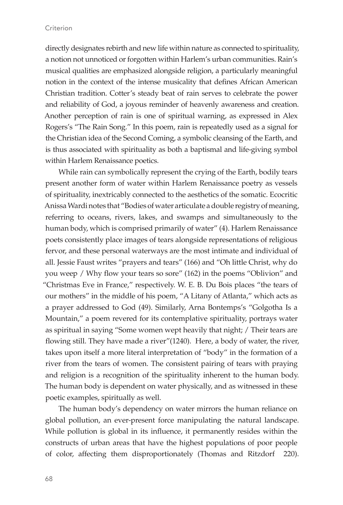### **Criterion**

directly designates rebirth and new life within nature as connected to spirituality, a notion not unnoticed or forgotten within Harlem's urban communities. Rain's musical qualities are emphasized alongside religion, a particularly meaningful notion in the context of the intense musicality that defines African American Christian tradition. Cotter's steady beat of rain serves to celebrate the power and reliability of God, a joyous reminder of heavenly awareness and creation. Another perception of rain is one of spiritual warning, as expressed in Alex Rogers's "The Rain Song." In this poem, rain is repeatedly used as a signal for the Christian idea of the Second Coming, a symbolic cleansing of the Earth, and is thus associated with spirituality as both a baptismal and life-giving symbol within Harlem Renaissance poetics.

While rain can symbolically represent the crying of the Earth, bodily tears present another form of water within Harlem Renaissance poetry as vessels of spirituality, inextricably connected to the aesthetics of the somatic. Ecocritic Anissa Wardi notes that "Bodies of water articulate a double registry of meaning, referring to oceans, rivers, lakes, and swamps and simultaneously to the human body, which is comprised primarily of water" (4). Harlem Renaissance poets consistently place images of tears alongside representations of religious fervor, and these personal waterways are the most intimate and individual of all. Jessie Faust writes "prayers and tears" (166) and "Oh little Christ, why do you weep / Why flow your tears so sore" (162) in the poems "Oblivion" and "Christmas Eve in France," respectively. W. E. B. Du Bois places "the tears of our mothers" in the middle of his poem, "A Litany of Atlanta," which acts as a prayer addressed to God (49). Similarly, Arna Bontemps's "Golgotha Is a Mountain," a poem revered for its contemplative spirituality, portrays water as spiritual in saying "Some women wept heavily that night; / Their tears are flowing still. They have made a river"(1240). Here, a body of water, the river, takes upon itself a more literal interpretation of "body" in the formation of a river from the tears of women. The consistent pairing of tears with praying and religion is a recognition of the spirituality inherent to the human body. The human body is dependent on water physically, and as witnessed in these poetic examples, spiritually as well.

The human body's dependency on water mirrors the human reliance on global pollution, an ever-present force manipulating the natural landscape. While pollution is global in its influence, it permanently resides within the constructs of urban areas that have the highest populations of poor people of color, affecting them disproportionately (Thomas and Ritzdorf 220).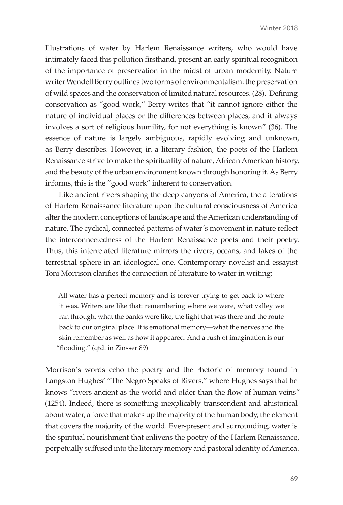Illustrations of water by Harlem Renaissance writers, who would have intimately faced this pollution firsthand, present an early spiritual recognition of the importance of preservation in the midst of urban modernity. Nature writer Wendell Berry outlines two forms of environmentalism: the preservation of wild spaces and the conservation of limited natural resources. (28). Defining conservation as "good work," Berry writes that "it cannot ignore either the nature of individual places or the differences between places, and it always involves a sort of religious humility, for not everything is known" (36). The essence of nature is largely ambiguous, rapidly evolving and unknown, as Berry describes. However, in a literary fashion, the poets of the Harlem Renaissance strive to make the spirituality of nature, African American history, and the beauty of the urban environment known through honoring it. As Berry informs, this is the "good work" inherent to conservation.

Like ancient rivers shaping the deep canyons of America, the alterations of Harlem Renaissance literature upon the cultural consciousness of America alter the modern conceptions of landscape and the American understanding of nature. The cyclical, connected patterns of water's movement in nature reflect the interconnectedness of the Harlem Renaissance poets and their poetry. Thus, this interrelated literature mirrors the rivers, oceans, and lakes of the terrestrial sphere in an ideological one. Contemporary novelist and essayist Toni Morrison clarifies the connection of literature to water in writing:

All water has a perfect memory and is forever trying to get back to where it was. Writers are like that: remembering where we were, what valley we ran through, what the banks were like, the light that was there and the route back to our original place. It is emotional memory—what the nerves and the skin remember as well as how it appeared. And a rush of imagination is our "flooding." (qtd. in Zinsser 89)

Morrison's words echo the poetry and the rhetoric of memory found in Langston Hughes' "The Negro Speaks of Rivers," where Hughes says that he knows "rivers ancient as the world and older than the flow of human veins" (1254). Indeed, there is something inexplicably transcendent and ahistorical about water, a force that makes up the majority of the human body, the element that covers the majority of the world. Ever-present and surrounding, water is the spiritual nourishment that enlivens the poetry of the Harlem Renaissance, perpetually suffused into the literary memory and pastoral identity of America.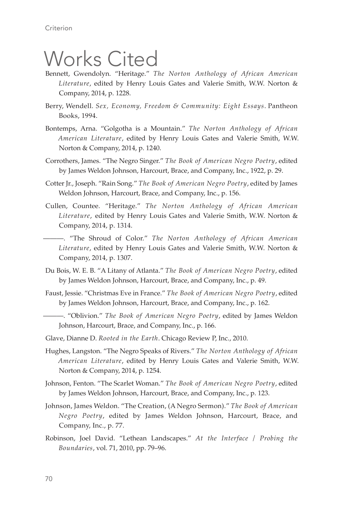## Works Cited

- Bennett, Gwendolyn. "Heritage." *The Norton Anthology of African American Literature*, edited by Henry Louis Gates and Valerie Smith, W.W. Norton & Company, 2014, p. 1228.
- Berry, Wendell. *Sex, Economy, Freedom & Community: Eight Essays*. Pantheon Books, 1994.
- Bontemps, Arna. "Golgotha is a Mountain." *The Norton Anthology of African American Literature*, edited by Henry Louis Gates and Valerie Smith, W.W. Norton & Company, 2014, p. 1240.
- Corrothers, James. "The Negro Singer." *The Book of American Negro Poetry*, edited by James Weldon Johnson, Harcourt, Brace, and Company, Inc., 1922, p. 29.
- Cotter Jr., Joseph. "Rain Song." *The Book of American Negro Poetry*, edited by James Weldon Johnson, Harcourt, Brace, and Company, Inc., p. 156.
- Cullen, Countee. "Heritage." *The Norton Anthology of African American Literature*, edited by Henry Louis Gates and Valerie Smith, W.W. Norton & Company, 2014, p. 1314.

———. "The Shroud of Color." *The Norton Anthology of African American Literature*, edited by Henry Louis Gates and Valerie Smith, W.W. Norton & Company, 2014, p. 1307.

- Du Bois, W. E. B. "A Litany of Atlanta." *The Book of American Negro Poetry*, edited by James Weldon Johnson, Harcourt, Brace, and Company, Inc., p. 49.
- Faust, Jessie. "Christmas Eve in France." *The Book of American Negro Poetry*, edited by James Weldon Johnson, Harcourt, Brace, and Company, Inc., p. 162.
	- ———. "Oblivion." *The Book of American Negro Poetry*, edited by James Weldon Johnson, Harcourt, Brace, and Company, Inc., p. 166.
- Glave, Dianne D. *Rooted in the Earth*. Chicago Review P, Inc., 2010.
- Hughes, Langston. "The Negro Speaks of Rivers." *The Norton Anthology of African American Literature*, edited by Henry Louis Gates and Valerie Smith, W.W. Norton & Company, 2014, p. 1254.
- Johnson, Fenton. "The Scarlet Woman." *The Book of American Negro Poetry*, edited by James Weldon Johnson, Harcourt, Brace, and Company, Inc., p. 123.
- Johnson, James Weldon. "The Creation, (A Negro Sermon)." *The Book of American Negro Poetry*, edited by James Weldon Johnson, Harcourt, Brace, and Company, Inc., p. 77.
- Robinson, Joel David. "Lethean Landscapes." *At the Interface / Probing the Boundaries*, vol. 71, 2010, pp. 79–96.